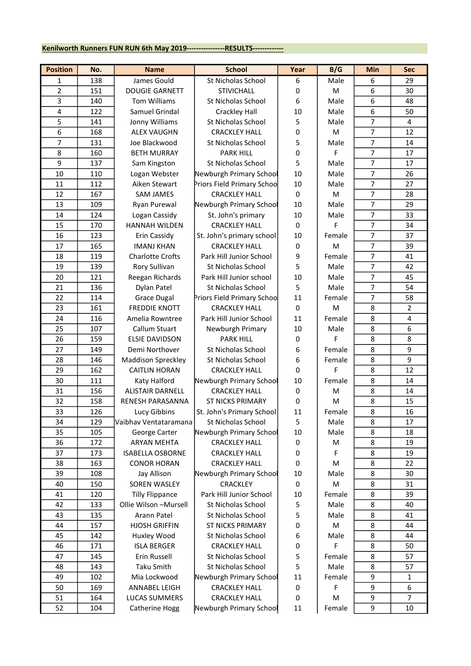## Kenilworth Runners FUN RUN 6th May 2019------------------RESULTS-------------

| <b>Position</b> | No. | <b>Name</b>               | <b>School</b>              | Year | B/G    | Min            | <b>Sec</b>     |
|-----------------|-----|---------------------------|----------------------------|------|--------|----------------|----------------|
| 1               | 138 | James Gould               | St Nicholas School         | 6    | Male   | 6              | 29             |
| 2               | 151 | <b>DOUGIE GARNETT</b>     | <b>STIVICHALL</b>          | 0    | M      | 6              | 30             |
| 3               | 140 | <b>Tom Williams</b>       | St Nicholas School         | 6    | Male   | 6              | 48             |
| 4               | 122 | Samuel Grindal            | <b>Crackley Hall</b>       | 10   | Male   | 6              | 50             |
| 5               | 141 | Jonny Williams            | St Nicholas School         | 5    | Male   | $\overline{7}$ | $\overline{4}$ |
| 6               | 168 | <b>ALEX VAUGHN</b>        | <b>CRACKLEY HALL</b>       | 0    | M      | 7              | 12             |
| $\overline{7}$  | 131 | Joe Blackwood             | St Nicholas School         | 5    | Male   | $\overline{7}$ | 14             |
| 8               | 160 | <b>BETH MURRAY</b>        | <b>PARK HILL</b>           | 0    | F      | $\overline{7}$ | 17             |
| 9               | 137 | Sam Kingston              | St Nicholas School         | 5    | Male   | $\overline{7}$ | 17             |
| 10              | 110 | Logan Webster             | Newburgh Primary School    | 10   | Male   | $\overline{7}$ | 26             |
| 11              | 112 | Aiken Stewart             | Priors Field Primary Schoo | 10   | Male   | $\overline{7}$ | 27             |
| 12              | 167 | <b>SAM JAMES</b>          | <b>CRACKLEY HALL</b>       | 0    | M      | $\overline{7}$ | 28             |
| 13              | 109 | Ryan Purewal              | Newburgh Primary School    | 10   | Male   | $\overline{7}$ | 29             |
| 14              | 124 | Logan Cassidy             | St. John's primary         | 10   | Male   | $\overline{7}$ | 33             |
| 15              | 170 | <b>HANNAH WILDEN</b>      | <b>CRACKLEY HALL</b>       | 0    | F      | 7              | 34             |
| 16              | 123 | Erin Cassidy              | St. John's primary school  | 10   | Female | $\overline{7}$ | 37             |
| 17              | 165 | <b>IMANJ KHAN</b>         | <b>CRACKLEY HALL</b>       | 0    | M      | 7              | 39             |
| 18              | 119 | <b>Charlotte Crofts</b>   | Park Hill Junior School    | 9    | Female | $\overline{7}$ | 41             |
| 19              | 139 | Rory Sullivan             | St Nicholas School         | 5    | Male   | $\overline{7}$ | 42             |
| 20              | 121 | Reegan Richards           | Park Hill Junior school    | 10   | Male   | 7              | 45             |
| 21              | 136 | Dylan Patel               | St Nicholas School         | 5    | Male   | $\overline{7}$ | 54             |
| 22              | 114 | <b>Grace Dugal</b>        | Priors Field Primary Schoo | 11   | Female | $\overline{7}$ | 58             |
| 23              | 161 | <b>FREDDIE KNOTT</b>      | <b>CRACKLEY HALL</b>       | 0    | M      | 8              | $\overline{2}$ |
| 24              | 116 | Amelia Rowntree           | Park Hill Junior School    | 11   | Female | 8              | 4              |
| 25              | 107 | Callum Stuart             | Newburgh Primary           | 10   | Male   | 8              | 6              |
| 26              | 159 | <b>ELSIE DAVIDSON</b>     | <b>PARK HILL</b>           | 0    | F      | 8              | 8              |
| 27              | 149 | Demi Northover            | St Nicholas School         | 6    | Female | 8              | 9              |
| 28              | 146 | <b>Maddison Spreckley</b> | St Nicholas School         | 6    | Female | 8              | 9              |
| 29              | 162 | <b>CAITLIN HORAN</b>      | <b>CRACKLEY HALL</b>       | 0    | F      | 8              | 12             |
| 30              | 111 | Katy Halford              | Newburgh Primary School    | 10   | Female | 8              | 14             |
| 31              | 156 | <b>ALISTAIR DARNELL</b>   | <b>CRACKLEY HALL</b>       | 0    | M      | 8              | 14             |
| 32              | 158 | <b>RENESH PARASANNA</b>   | <b>ST NICKS PRIMARY</b>    | 0    | M      | 8              | 15             |
| 33              | 126 | Lucy Gibbins              | St. John's Primary School  | 11   | Female | 8              | 16             |
| 34              | 129 | Vaibhav Ventataramana     | St Nicholas School         | 5    | Male   | 8              | 17             |
| 35              | 105 | George Carter             | Newburgh Primary School    | 10   | Male   | 8              | 18             |
| 36              | 172 | <b>ARYAN MEHTA</b>        | <b>CRACKLEY HALL</b>       | 0    | M      | 8              | 19             |
| 37              | 173 | <b>ISABELLA OSBORNE</b>   | <b>CRACKLEY HALL</b>       | 0    | F      | 8              | 19             |
| 38              | 163 | <b>CONOR HORAN</b>        | <b>CRACKLEY HALL</b>       | 0    | M      | 8              | 22             |
| 39              | 108 | Jay Allison               | Newburgh Primary School    | 10   | Male   | 8              | 30             |
| 40              | 150 | SOREN WASLEY              | CRACKLEY                   | 0    | M      | 8              | 31             |
| 41              | 120 | <b>Tilly Flippance</b>    | Park Hill Junior School    | 10   | Female | 8              | 39             |
| 42              | 133 | Ollie Wilson - Mursell    | St Nicholas School         | 5    | Male   | 8              | 40             |
| 43              | 135 | Arann Patel               | St Nicholas School         | 5    | Male   | 8              | 41             |
| 44              | 157 | <b>HJOSH GRIFFIN</b>      | <b>ST NICKS PRIMARY</b>    | 0    | M      | 8              | 44             |
| 45              | 142 | Huxley Wood               | St Nicholas School         | 6    | Male   | 8              | 44             |
| 46              | 171 | <b>ISLA BERGER</b>        | <b>CRACKLEY HALL</b>       | 0    | F      | 8              | 50             |
| 47              | 145 | Erin Russell              | St Nicholas School         | 5    | Female | 8              | 57             |
| 48              | 143 | Taku Smith                | St Nicholas School         | 5    | Male   | 8              | 57             |
| 49              | 102 | Mia Lockwood              | Newburgh Primary School    | 11   | Female | 9              | 1              |
| 50              | 169 | ANNABEL LEIGH             | <b>CRACKLEY HALL</b>       | 0    | F      | 9              | 6              |
| 51              | 164 | LUCAS SUMMERS             | <b>CRACKLEY HALL</b>       | 0    | M      | 9              | 7              |
| 52              | 104 | Catherine Hogg            | Newburgh Primary School    | 11   | Female | 9              | 10             |